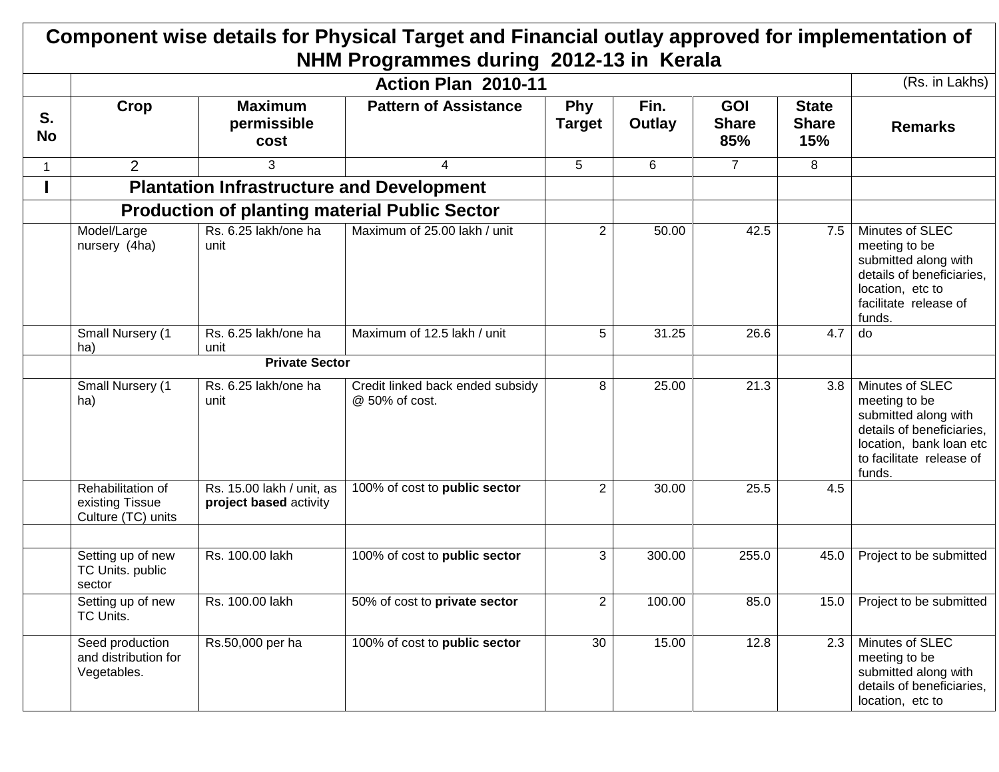## **Component wise details for Physical Target and Financial outlay approved for implementation of NHM Programmes during 2012-13 in Kerala**

|                 | Action Plan 2010-11                                        |                                                     |                                                      |                             |                |                                   |                                     |                                                                                                                                                        |  |
|-----------------|------------------------------------------------------------|-----------------------------------------------------|------------------------------------------------------|-----------------------------|----------------|-----------------------------------|-------------------------------------|--------------------------------------------------------------------------------------------------------------------------------------------------------|--|
| S.<br><b>No</b> | Crop                                                       | <b>Maximum</b><br>permissible<br>cost               | <b>Pattern of Assistance</b>                         | <b>Phy</b><br><b>Target</b> | Fin.<br>Outlay | <b>GOI</b><br><b>Share</b><br>85% | <b>State</b><br><b>Share</b><br>15% | <b>Remarks</b>                                                                                                                                         |  |
| $\mathbf 1$     | $\overline{2}$                                             | 3                                                   | 4                                                    | 5                           | 6              | $\overline{7}$                    | 8                                   |                                                                                                                                                        |  |
|                 |                                                            | <b>Plantation Infrastructure and Development</b>    |                                                      |                             |                |                                   |                                     |                                                                                                                                                        |  |
|                 |                                                            |                                                     | <b>Production of planting material Public Sector</b> |                             |                |                                   |                                     |                                                                                                                                                        |  |
|                 | Model/Large<br>nursery (4ha)                               | Rs. 6.25 lakh/one ha<br>unit                        | Maximum of 25.00 lakh / unit                         | $\overline{2}$              | 50.00          | 42.5                              | 7.5                                 | Minutes of SLEC<br>meeting to be<br>submitted along with<br>details of beneficiaries,<br>location, etc to<br>facilitate release of<br>funds.           |  |
|                 | <b>Small Nursery (1)</b><br>ha)                            | Rs. 6.25 lakh/one ha<br>unit                        | Maximum of 12.5 lakh / unit                          | 5                           | 31.25          | 26.6                              | 4.7                                 | do                                                                                                                                                     |  |
|                 |                                                            | <b>Private Sector</b>                               |                                                      |                             |                |                                   |                                     |                                                                                                                                                        |  |
|                 | <b>Small Nursery (1)</b><br>ha)                            | Rs. 6.25 lakh/one ha<br>unit                        | Credit linked back ended subsidy<br>@ 50% of cost.   | 8                           | 25.00          | 21.3                              | 3.8                                 | Minutes of SLEC<br>meeting to be<br>submitted along with<br>details of beneficiaries,<br>location, bank loan etc<br>to facilitate release of<br>funds. |  |
|                 | Rehabilitation of<br>existing Tissue<br>Culture (TC) units | Rs. 15.00 lakh / unit, as<br>project based activity | 100% of cost to public sector                        | $\overline{2}$              | 30.00          | 25.5                              | 4.5                                 |                                                                                                                                                        |  |
|                 |                                                            |                                                     |                                                      |                             |                |                                   |                                     |                                                                                                                                                        |  |
|                 | Setting up of new<br>TC Units. public<br>sector            | Rs. 100.00 lakh                                     | 100% of cost to public sector                        | 3                           | 300.00         | 255.0                             | 45.0                                | Project to be submitted                                                                                                                                |  |
|                 | Setting up of new<br>TC Units.                             | Rs. 100.00 lakh                                     | 50% of cost to private sector                        | $\mathbf{2}$                | 100.00         | 85.0                              | 15.0                                | Project to be submitted                                                                                                                                |  |
|                 | Seed production<br>and distribution for<br>Vegetables.     | Rs.50,000 per ha                                    | 100% of cost to public sector                        | 30                          | 15.00          | 12.8                              | 2.3                                 | Minutes of SLEC<br>meeting to be<br>submitted along with<br>details of beneficiaries,<br>location, etc to                                              |  |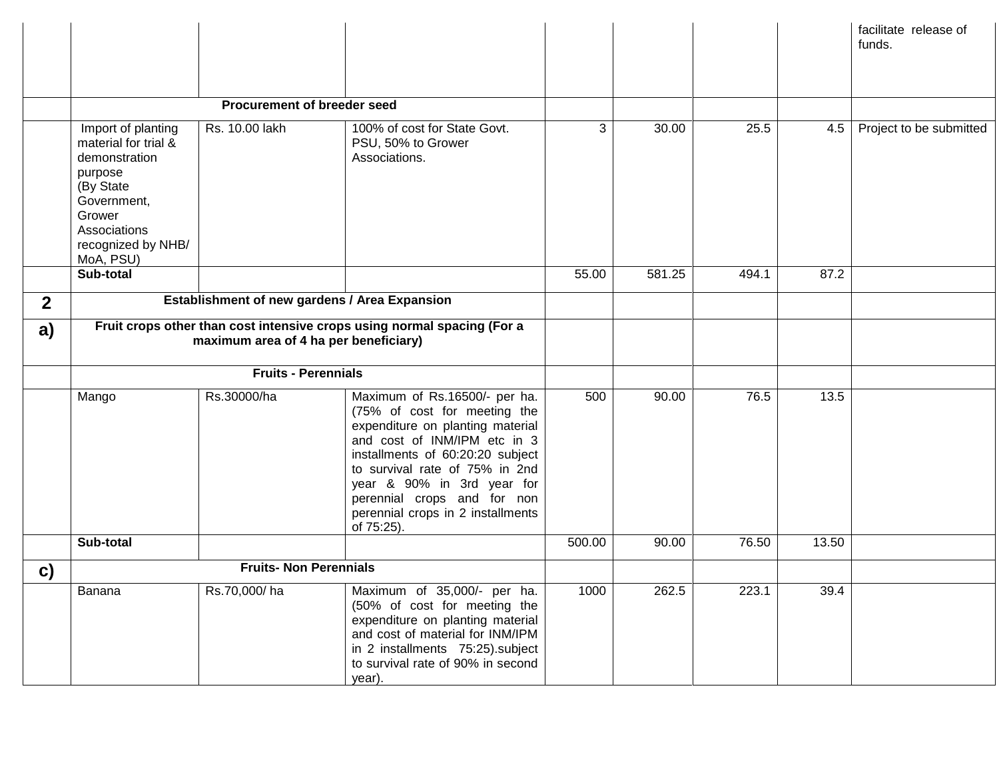|              |                                                                                                                                                                 |                                               |                                                                                                                                                                                                                                                                                                                         |        |                    |       |       | facilitate release of<br>funds. |
|--------------|-----------------------------------------------------------------------------------------------------------------------------------------------------------------|-----------------------------------------------|-------------------------------------------------------------------------------------------------------------------------------------------------------------------------------------------------------------------------------------------------------------------------------------------------------------------------|--------|--------------------|-------|-------|---------------------------------|
|              |                                                                                                                                                                 | <b>Procurement of breeder seed</b>            |                                                                                                                                                                                                                                                                                                                         |        |                    |       |       |                                 |
|              | Import of planting<br>material for trial &<br>demonstration<br>purpose<br>(By State<br>Government,<br>Grower<br>Associations<br>recognized by NHB/<br>MoA, PSU) | Rs. 10.00 lakh                                | 100% of cost for State Govt.<br>PSU, 50% to Grower<br>Associations.                                                                                                                                                                                                                                                     | 3      | $\overline{30.00}$ | 25.5  | 4.5   | Project to be submitted         |
|              | Sub-total                                                                                                                                                       |                                               |                                                                                                                                                                                                                                                                                                                         | 55.00  | 581.25             | 494.1 | 87.2  |                                 |
| $\mathbf{2}$ |                                                                                                                                                                 | Establishment of new gardens / Area Expansion |                                                                                                                                                                                                                                                                                                                         |        |                    |       |       |                                 |
| a)           | Fruit crops other than cost intensive crops using normal spacing (For a<br>maximum area of 4 ha per beneficiary)<br><b>Fruits - Perennials</b>                  |                                               |                                                                                                                                                                                                                                                                                                                         |        |                    |       |       |                                 |
|              |                                                                                                                                                                 |                                               |                                                                                                                                                                                                                                                                                                                         |        |                    |       |       |                                 |
|              | Mango                                                                                                                                                           | Rs.30000/ha                                   | Maximum of Rs.16500/- per ha.<br>(75% of cost for meeting the<br>expenditure on planting material<br>and cost of INM/IPM etc in 3<br>installments of 60:20:20 subject<br>to survival rate of 75% in 2nd<br>year & 90% in 3rd year for<br>perennial crops and for non<br>perennial crops in 2 installments<br>of 75:25). | 500    | 90.00              | 76.5  | 13.5  |                                 |
|              | Sub-total                                                                                                                                                       |                                               |                                                                                                                                                                                                                                                                                                                         | 500.00 | 90.00              | 76.50 | 13.50 |                                 |
| c)           |                                                                                                                                                                 | <b>Fruits- Non Perennials</b>                 |                                                                                                                                                                                                                                                                                                                         |        |                    |       |       |                                 |
|              | Banana                                                                                                                                                          | Rs.70,000/ha                                  | Maximum of 35,000/- per ha.<br>(50% of cost for meeting the<br>expenditure on planting material<br>and cost of material for INM/IPM<br>in 2 installments 75:25).subject<br>to survival rate of 90% in second<br>year).                                                                                                  | 1000   | 262.5              | 223.1 | 39.4  |                                 |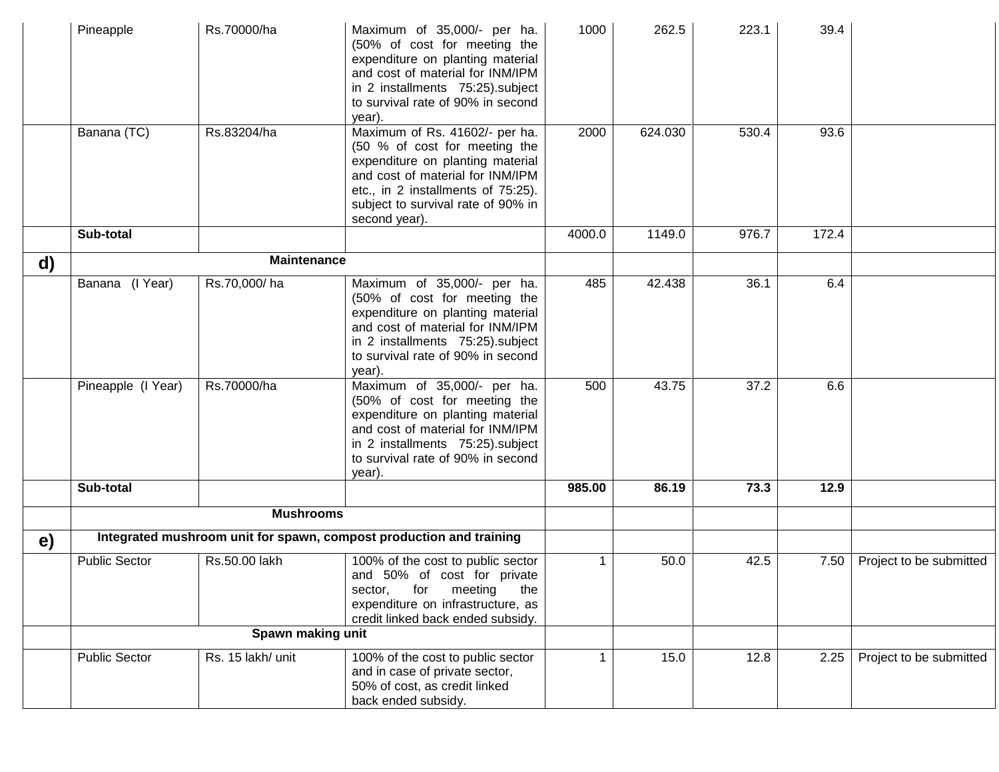|    | Pineapple            | Rs.70000/ha        | Maximum of 35,000/- per ha.<br>(50% of cost for meeting the<br>expenditure on planting material<br>and cost of material for INM/IPM<br>in 2 installments 75:25).subject<br>to survival rate of 90% in second<br>year).               | 1000   | 262.5   | 223.1 | 39.4  |                         |
|----|----------------------|--------------------|--------------------------------------------------------------------------------------------------------------------------------------------------------------------------------------------------------------------------------------|--------|---------|-------|-------|-------------------------|
|    | Banana (TC)          | Rs.83204/ha        | Maximum of Rs. 41602/- per ha.<br>(50 % of cost for meeting the<br>expenditure on planting material<br>and cost of material for INM/IPM<br>etc., in 2 installments of 75:25).<br>subject to survival rate of 90% in<br>second year). | 2000   | 624.030 | 530.4 | 93.6  |                         |
|    | Sub-total            |                    |                                                                                                                                                                                                                                      | 4000.0 | 1149.0  | 976.7 | 172.4 |                         |
| d) |                      | <b>Maintenance</b> |                                                                                                                                                                                                                                      |        |         |       |       |                         |
|    | Banana (I Year)      | Rs.70,000/ha       | Maximum of 35,000/- per ha.<br>(50% of cost for meeting the<br>expenditure on planting material<br>and cost of material for INM/IPM<br>in 2 installments 75:25).subject<br>to survival rate of 90% in second<br>year).               | 485    | 42.438  | 36.1  | 6.4   |                         |
|    | Pineapple (I Year)   | Rs.70000/ha        | Maximum of 35,000/- per ha.<br>(50% of cost for meeting the<br>expenditure on planting material<br>and cost of material for INM/IPM<br>in 2 installments 75:25).subject<br>to survival rate of 90% in second<br>year).               | 500    | 43.75   | 37.2  | 6.6   |                         |
|    | Sub-total            |                    |                                                                                                                                                                                                                                      | 985.00 | 86.19   | 73.3  | 12.9  |                         |
|    |                      | <b>Mushrooms</b>   |                                                                                                                                                                                                                                      |        |         |       |       |                         |
| e) |                      |                    | Integrated mushroom unit for spawn, compost production and training                                                                                                                                                                  |        |         |       |       |                         |
|    | <b>Public Sector</b> | Rs.50.00 lakh      | 100% of the cost to public sector<br>and 50% of cost for private<br>sector, for meeting the<br>expenditure on infrastructure, as<br>credit linked back ended subsidy.                                                                |        | 50.0    | 42.5  | 7.50  | Project to be submitted |
|    |                      | Spawn making unit  |                                                                                                                                                                                                                                      |        |         |       |       |                         |
|    | <b>Public Sector</b> | Rs. 15 lakh/ unit  | 100% of the cost to public sector<br>and in case of private sector,<br>50% of cost, as credit linked<br>back ended subsidy.                                                                                                          |        | 15.0    | 12.8  | 2.25  | Project to be submitted |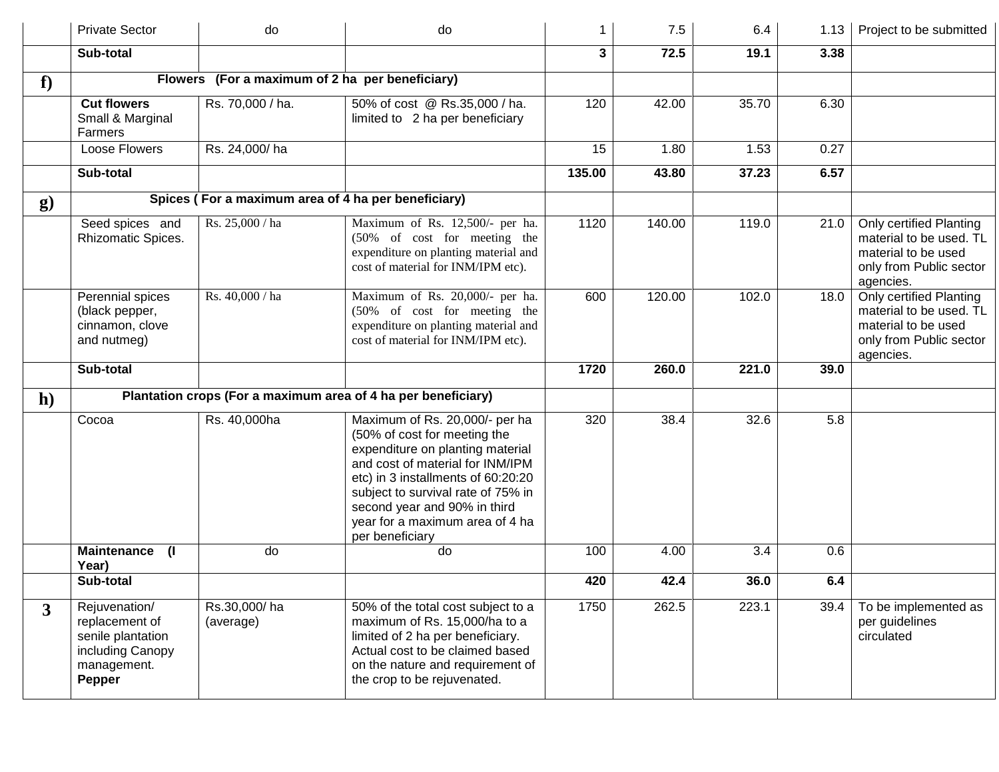|                | <b>Private Sector</b>                                                                             | do                        | do                                                                                                                                                                                                                                                                                                       | 1      | 7.5    | 6.4   | 1.13 | Project to be submitted                                                                                           |
|----------------|---------------------------------------------------------------------------------------------------|---------------------------|----------------------------------------------------------------------------------------------------------------------------------------------------------------------------------------------------------------------------------------------------------------------------------------------------------|--------|--------|-------|------|-------------------------------------------------------------------------------------------------------------------|
|                | Sub-total                                                                                         |                           |                                                                                                                                                                                                                                                                                                          | 3      | 72.5   | 19.1  | 3.38 |                                                                                                                   |
| f              |                                                                                                   |                           | Flowers (For a maximum of 2 ha per beneficiary)                                                                                                                                                                                                                                                          |        |        |       |      |                                                                                                                   |
|                | <b>Cut flowers</b><br>Small & Marginal<br>Farmers                                                 | Rs. 70,000 / ha.          | 50% of cost @ Rs.35,000 / ha.<br>limited to 2 ha per beneficiary                                                                                                                                                                                                                                         | 120    | 42.00  | 35.70 | 6.30 |                                                                                                                   |
|                | Loose Flowers                                                                                     | Rs. 24,000/ha             |                                                                                                                                                                                                                                                                                                          | 15     | 1.80   | 1.53  | 0.27 |                                                                                                                   |
|                | Sub-total                                                                                         |                           |                                                                                                                                                                                                                                                                                                          | 135.00 | 43.80  | 37.23 | 6.57 |                                                                                                                   |
| $\bf{g}$       |                                                                                                   |                           | Spices (For a maximum area of 4 ha per beneficiary)                                                                                                                                                                                                                                                      |        |        |       |      |                                                                                                                   |
|                | Seed spices and<br>Rhizomatic Spices.                                                             | Rs. 25,000 / ha           | Maximum of Rs. 12,500/- per ha.<br>(50% of cost for meeting the<br>expenditure on planting material and<br>cost of material for INM/IPM etc).                                                                                                                                                            | 1120   | 140.00 | 119.0 | 21.0 | Only certified Planting<br>material to be used. TL<br>material to be used<br>only from Public sector<br>agencies. |
|                | Perennial spices<br>(black pepper,<br>cinnamon, clove<br>and nutmeg)                              | Rs. 40,000 / ha           | Maximum of Rs. 20,000/- per ha.<br>(50% of cost for meeting the<br>expenditure on planting material and<br>cost of material for INM/IPM etc).                                                                                                                                                            | 600    | 120.00 | 102.0 | 18.0 | Only certified Planting<br>material to be used. TL<br>material to be used<br>only from Public sector<br>agencies. |
|                | Sub-total                                                                                         |                           |                                                                                                                                                                                                                                                                                                          | 1720   | 260.0  | 221.0 | 39.0 |                                                                                                                   |
| $\mathbf{h}$   |                                                                                                   |                           | Plantation crops (For a maximum area of 4 ha per beneficiary)                                                                                                                                                                                                                                            |        |        |       |      |                                                                                                                   |
|                | Cocoa                                                                                             | Rs. 40,000ha              | Maximum of Rs. 20,000/- per ha<br>(50% of cost for meeting the<br>expenditure on planting material<br>and cost of material for INM/IPM<br>etc) in 3 installments of 60:20:20<br>subject to survival rate of 75% in<br>second year and 90% in third<br>year for a maximum area of 4 ha<br>per beneficiary | 320    | 38.4   | 32.6  | 5.8  |                                                                                                                   |
|                | <b>Maintenance</b><br>$\mathbf{I}$<br>Year)                                                       | do                        | do                                                                                                                                                                                                                                                                                                       | 100    | 4.00   | 3.4   | 0.6  |                                                                                                                   |
|                | Sub-total                                                                                         |                           |                                                                                                                                                                                                                                                                                                          | 420    | 42.4   | 36.0  | 6.4  |                                                                                                                   |
| $\overline{3}$ | Rejuvenation/<br>replacement of<br>senile plantation<br>including Canopy<br>management.<br>Pepper | Rs.30,000/ha<br>(average) | 50% of the total cost subject to a<br>maximum of Rs. 15,000/ha to a<br>limited of 2 ha per beneficiary.<br>Actual cost to be claimed based<br>on the nature and requirement of<br>the crop to be rejuvenated.                                                                                            | 1750   | 262.5  | 223.1 | 39.4 | To be implemented as<br>per guidelines<br>circulated                                                              |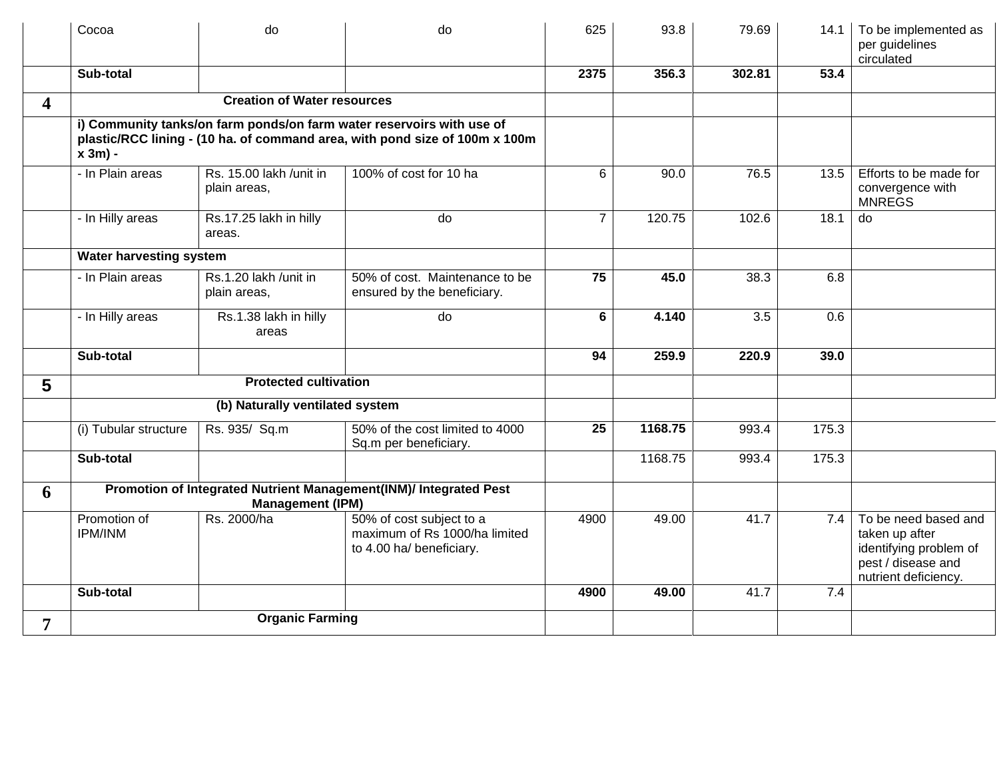|                         | Cocoa                          | do                                      | do                                                                                                                                                   | 625             | 93.8    | 79.69  | 14.1  | To be implemented as<br>per guidelines<br>circulated                                                           |
|-------------------------|--------------------------------|-----------------------------------------|------------------------------------------------------------------------------------------------------------------------------------------------------|-----------------|---------|--------|-------|----------------------------------------------------------------------------------------------------------------|
|                         | Sub-total                      |                                         |                                                                                                                                                      | 2375            | 356.3   | 302.81 | 53.4  |                                                                                                                |
| $\overline{\mathbf{4}}$ |                                | <b>Creation of Water resources</b>      |                                                                                                                                                      |                 |         |        |       |                                                                                                                |
|                         | $x 3m$ ) -                     |                                         | i) Community tanks/on farm ponds/on farm water reservoirs with use of<br>plastic/RCC lining - (10 ha. of command area, with pond size of 100m x 100m |                 |         |        |       |                                                                                                                |
|                         | - In Plain areas               | Rs. 15.00 lakh /unit in<br>plain areas, | 100% of cost for 10 ha                                                                                                                               | 6               | 90.0    | 76.5   | 13.5  | Efforts to be made for<br>convergence with<br><b>MNREGS</b>                                                    |
|                         | - In Hilly areas               | Rs.17.25 lakh in hilly<br>areas.        | do                                                                                                                                                   | $\overline{7}$  | 120.75  | 102.6  | 18.1  | do                                                                                                             |
|                         | Water harvesting system        |                                         |                                                                                                                                                      |                 |         |        |       |                                                                                                                |
|                         | - In Plain areas               | Rs.1.20 lakh /unit in<br>plain areas,   | 50% of cost. Maintenance to be<br>ensured by the beneficiary.                                                                                        | 75              | 45.0    | 38.3   | 6.8   |                                                                                                                |
|                         | - In Hilly areas               | Rs.1.38 lakh in hilly<br>areas          | $\overline{d}$                                                                                                                                       | $6\phantom{a}$  | 4.140   | 3.5    | 0.6   |                                                                                                                |
|                         | Sub-total                      |                                         |                                                                                                                                                      | 94              | 259.9   | 220.9  | 39.0  |                                                                                                                |
| 5                       |                                | <b>Protected cultivation</b>            |                                                                                                                                                      |                 |         |        |       |                                                                                                                |
|                         |                                | (b) Naturally ventilated system         |                                                                                                                                                      |                 |         |        |       |                                                                                                                |
|                         | (i) Tubular structure          | Rs. 935/ Sq.m                           | 50% of the cost limited to 4000<br>Sq.m per beneficiary.                                                                                             | $\overline{25}$ | 1168.75 | 993.4  | 175.3 |                                                                                                                |
|                         | Sub-total                      |                                         |                                                                                                                                                      |                 | 1168.75 | 993.4  | 175.3 |                                                                                                                |
| 6                       |                                | <b>Management (IPM)</b>                 | Promotion of Integrated Nutrient Management(INM)/ Integrated Pest                                                                                    |                 |         |        |       |                                                                                                                |
|                         | Promotion of<br><b>IPM/INM</b> | Rs. 2000/ha                             | 50% of cost subject to a<br>maximum of Rs 1000/ha limited<br>to 4.00 ha/ beneficiary.                                                                | 4900            | 49.00   | 41.7   | 7.4   | To be need based and<br>taken up after<br>identifying problem of<br>pest / disease and<br>nutrient deficiency. |
|                         | Sub-total                      |                                         |                                                                                                                                                      | 4900            | 49.00   | 41.7   | 7.4   |                                                                                                                |
| $\overline{7}$          |                                | <b>Organic Farming</b>                  |                                                                                                                                                      |                 |         |        |       |                                                                                                                |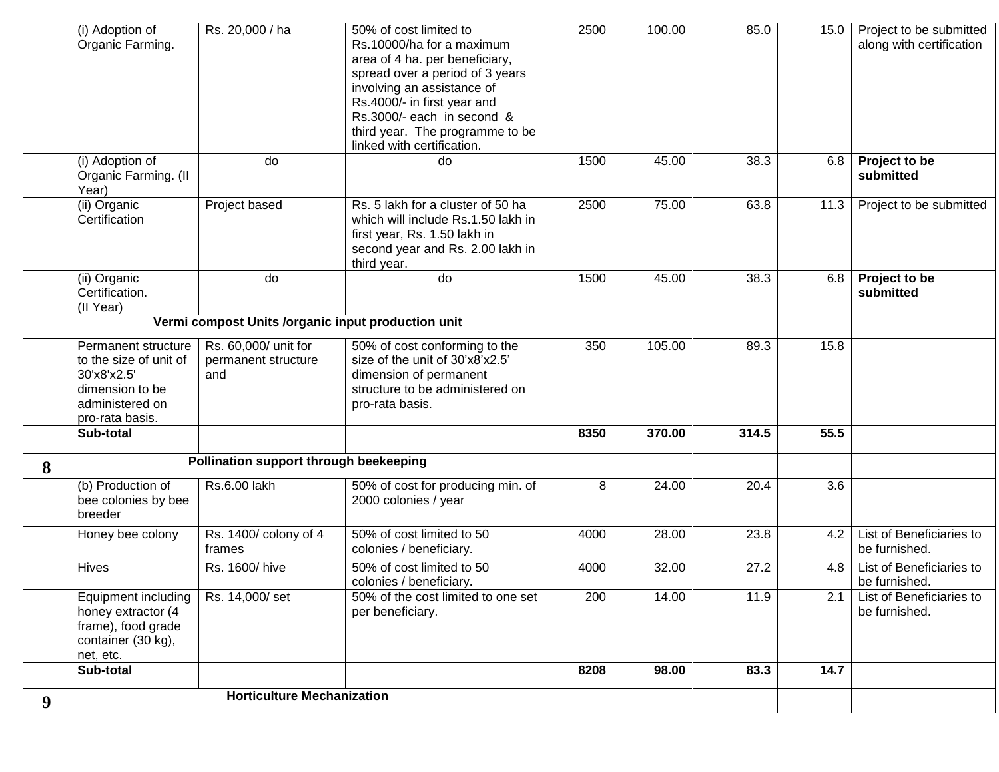|   | (i) Adoption of<br>Organic Farming.                                                                                   | Rs. 20,000 / ha                                    | 50% of cost limited to<br>Rs.10000/ha for a maximum<br>area of 4 ha. per beneficiary,<br>spread over a period of 3 years<br>involving an assistance of<br>Rs.4000/- in first year and<br>Rs.3000/- each in second &<br>third year. The programme to be<br>linked with certification. | 2500 | 100.00 | 85.0  | 15.0 | Project to be submitted<br>along with certification |
|---|-----------------------------------------------------------------------------------------------------------------------|----------------------------------------------------|--------------------------------------------------------------------------------------------------------------------------------------------------------------------------------------------------------------------------------------------------------------------------------------|------|--------|-------|------|-----------------------------------------------------|
|   | (i) Adoption of<br>Organic Farming. (II<br>Year)                                                                      | do                                                 | do                                                                                                                                                                                                                                                                                   | 1500 | 45.00  | 38.3  | 6.8  | Project to be<br>submitted                          |
|   | (ii) Organic<br>Certification                                                                                         | Project based                                      | Rs. 5 lakh for a cluster of 50 ha<br>which will include Rs.1.50 lakh in<br>first year, Rs. 1.50 lakh in<br>second year and Rs. 2.00 lakh in<br>third year.                                                                                                                           | 2500 | 75.00  | 63.8  | 11.3 | Project to be submitted                             |
|   | (ii) Organic<br>Certification.<br>(II Year)                                                                           | do                                                 | do                                                                                                                                                                                                                                                                                   | 1500 | 45.00  | 38.3  | 6.8  | Project to be<br>submitted                          |
|   |                                                                                                                       | Vermi compost Units /organic input production unit |                                                                                                                                                                                                                                                                                      |      |        |       |      |                                                     |
|   | Permanent structure<br>to the size of unit of<br>30'x8'x2.5'<br>dimension to be<br>administered on<br>pro-rata basis. | Rs. 60,000/ unit for<br>permanent structure<br>and | 50% of cost conforming to the<br>size of the unit of 30'x8'x2.5'<br>dimension of permanent<br>structure to be administered on<br>pro-rata basis.                                                                                                                                     | 350  | 105.00 | 89.3  | 15.8 |                                                     |
|   | Sub-total                                                                                                             |                                                    |                                                                                                                                                                                                                                                                                      | 8350 | 370.00 | 314.5 | 55.5 |                                                     |
| 8 |                                                                                                                       | Pollination support through beekeeping             |                                                                                                                                                                                                                                                                                      |      |        |       |      |                                                     |
|   | (b) Production of<br>bee colonies by bee<br>breeder                                                                   | Rs.6.00 lakh                                       | 50% of cost for producing min. of<br>2000 colonies / year                                                                                                                                                                                                                            | 8    | 24.00  | 20.4  | 3.6  |                                                     |
|   | Honey bee colony                                                                                                      | Rs. 1400/ colony of 4<br>frames                    | 50% of cost limited to 50<br>colonies / beneficiary.                                                                                                                                                                                                                                 | 4000 | 28.00  | 23.8  | 4.2  | List of Beneficiaries to<br>be furnished.           |
|   | <b>Hives</b>                                                                                                          | Rs. 1600/hive                                      | 50% of cost limited to 50<br>colonies / beneficiary.                                                                                                                                                                                                                                 | 4000 | 32.00  | 27.2  | 4.8  | List of Beneficiaries to<br>be furnished.           |
|   | Equipment including<br>honey extractor (4<br>frame), food grade<br>container (30 kg),<br>net, etc.                    | Rs. 14,000/set                                     | 50% of the cost limited to one set<br>per beneficiary.                                                                                                                                                                                                                               | 200  | 14.00  | 11.9  | 2.1  | List of Beneficiaries to<br>be furnished.           |
|   | Sub-total                                                                                                             |                                                    |                                                                                                                                                                                                                                                                                      | 8208 | 98.00  | 83.3  | 14.7 |                                                     |
| 9 |                                                                                                                       | <b>Horticulture Mechanization</b>                  |                                                                                                                                                                                                                                                                                      |      |        |       |      |                                                     |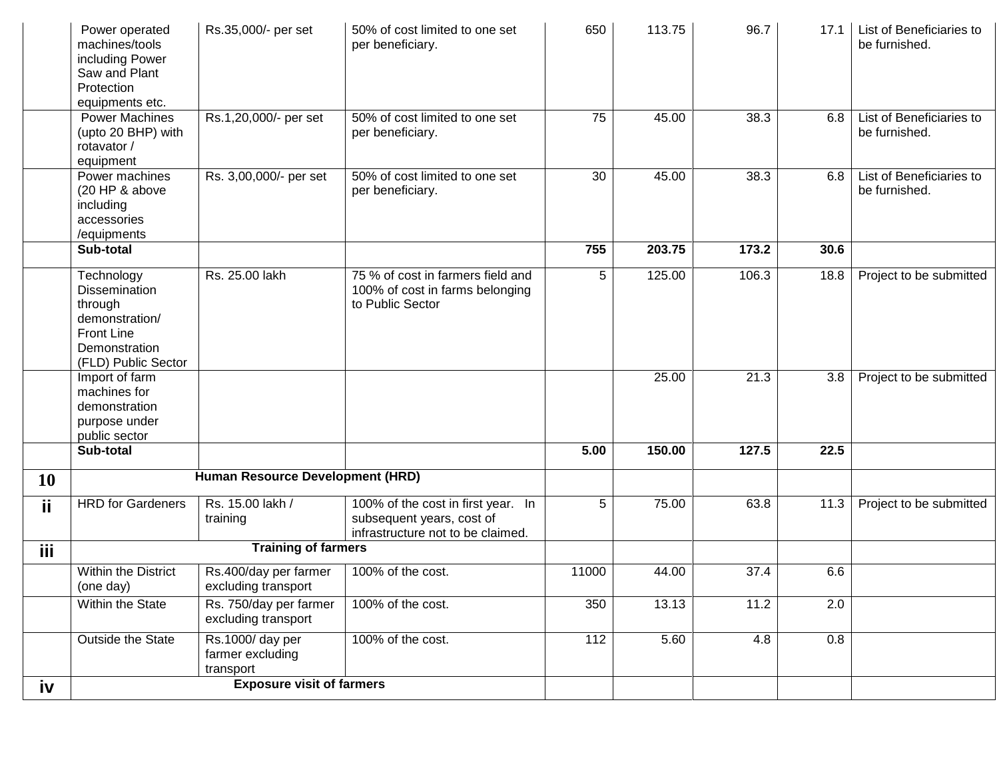|           | Power operated<br>machines/tools    | Rs.35,000/- per set                           | 50% of cost limited to one set<br>per beneficiary.              | 650   | 113.75 | 96.7  | 17.1 | List of Beneficiaries to<br>be furnished. |
|-----------|-------------------------------------|-----------------------------------------------|-----------------------------------------------------------------|-------|--------|-------|------|-------------------------------------------|
|           | including Power                     |                                               |                                                                 |       |        |       |      |                                           |
|           | Saw and Plant<br>Protection         |                                               |                                                                 |       |        |       |      |                                           |
|           | equipments etc.                     |                                               |                                                                 |       |        |       |      |                                           |
|           | <b>Power Machines</b>               | Rs.1,20,000/- per set                         | 50% of cost limited to one set                                  | 75    | 45.00  | 38.3  | 6.8  | List of Beneficiaries to                  |
|           | (upto 20 BHP) with                  |                                               | per beneficiary.                                                |       |        |       |      | be furnished.                             |
|           | rotavator /                         |                                               |                                                                 |       |        |       |      |                                           |
|           | equipment                           |                                               | 50% of cost limited to one set                                  |       | 45.00  | 38.3  |      |                                           |
|           | Power machines<br>(20 HP & above    | Rs. 3,00,000/- per set                        | per beneficiary.                                                | 30    |        |       | 6.8  | List of Beneficiaries to<br>be furnished. |
|           | including                           |                                               |                                                                 |       |        |       |      |                                           |
|           | accessories                         |                                               |                                                                 |       |        |       |      |                                           |
|           | /equipments                         |                                               |                                                                 |       |        |       |      |                                           |
|           | Sub-total                           |                                               |                                                                 | 755   | 203.75 | 173.2 | 30.6 |                                           |
|           | Technology                          | Rs. 25.00 lakh                                | 75 % of cost in farmers field and                               | 5     | 125.00 | 106.3 | 18.8 | Project to be submitted                   |
|           | <b>Dissemination</b>                |                                               | 100% of cost in farms belonging                                 |       |        |       |      |                                           |
|           | through                             |                                               | to Public Sector                                                |       |        |       |      |                                           |
|           | demonstration/<br><b>Front Line</b> |                                               |                                                                 |       |        |       |      |                                           |
|           | Demonstration                       |                                               |                                                                 |       |        |       |      |                                           |
|           | (FLD) Public Sector                 |                                               |                                                                 |       |        |       |      |                                           |
|           | Import of farm                      |                                               |                                                                 |       | 25.00  | 21.3  | 3.8  | Project to be submitted                   |
|           | machines for                        |                                               |                                                                 |       |        |       |      |                                           |
|           | demonstration<br>purpose under      |                                               |                                                                 |       |        |       |      |                                           |
|           | public sector                       |                                               |                                                                 |       |        |       |      |                                           |
|           | Sub-total                           |                                               |                                                                 | 5.00  | 150.00 | 127.5 | 22.5 |                                           |
| <b>10</b> |                                     | Human Resource Development (HRD)              |                                                                 |       |        |       |      |                                           |
|           |                                     |                                               |                                                                 |       |        |       |      |                                           |
| Ϊİ        | <b>HRD</b> for Gardeners            | Rs. 15.00 lakh /<br>training                  | 100% of the cost in first year. In<br>subsequent years, cost of | 5     | 75.00  | 63.8  | 11.3 | Project to be submitted                   |
|           |                                     |                                               | infrastructure not to be claimed.                               |       |        |       |      |                                           |
| iii.      |                                     | <b>Training of farmers</b>                    |                                                                 |       |        |       |      |                                           |
|           | Within the District                 | Rs.400/day per farmer                         | 100% of the cost.                                               | 11000 | 44.00  | 37.4  | 6.6  |                                           |
|           | (one day)                           | excluding transport                           |                                                                 |       |        |       |      |                                           |
|           | Within the State                    | Rs. 750/day per farmer<br>excluding transport | 100% of the cost.                                               | 350   | 13.13  | 11.2  | 2.0  |                                           |
|           | Outside the State                   | Rs.1000/day per                               | 100% of the cost.                                               | 112   | 5.60   | 4.8   | 0.8  |                                           |
|           |                                     | farmer excluding<br>transport                 |                                                                 |       |        |       |      |                                           |
| iv        |                                     | <b>Exposure visit of farmers</b>              |                                                                 |       |        |       |      |                                           |
|           |                                     |                                               |                                                                 |       |        |       |      |                                           |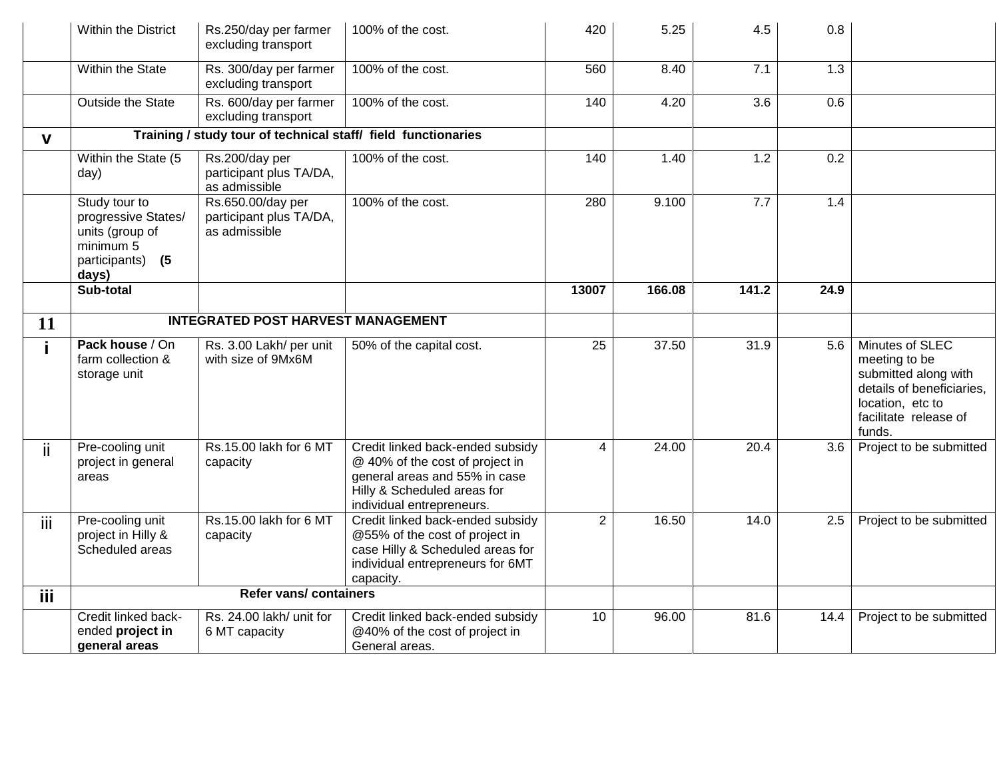|              | Within the District                                                                                   | Rs.250/day per farmer<br>excluding transport                  | 100% of the cost.                                                                                                                                                | 420            | 5.25              | 4.5              | 0.8              |                                                                                                                                              |
|--------------|-------------------------------------------------------------------------------------------------------|---------------------------------------------------------------|------------------------------------------------------------------------------------------------------------------------------------------------------------------|----------------|-------------------|------------------|------------------|----------------------------------------------------------------------------------------------------------------------------------------------|
|              | Within the State                                                                                      | Rs. 300/day per farmer<br>excluding transport                 | 100% of the cost.                                                                                                                                                | 560            | 8.40              | 7.1              | $\overline{1.3}$ |                                                                                                                                              |
|              | Outside the State                                                                                     | Rs. 600/day per farmer<br>excluding transport                 | 100% of the cost.                                                                                                                                                | 140            | 4.20              | $\overline{3.6}$ | 0.6              |                                                                                                                                              |
| $\mathbf{V}$ |                                                                                                       | Training / study tour of technical staff/ field functionaries |                                                                                                                                                                  |                |                   |                  |                  |                                                                                                                                              |
|              | Within the State (5<br>day)                                                                           | Rs.200/day per<br>participant plus TA/DA,<br>as admissible    | 100% of the cost.                                                                                                                                                | 140            | 1.40              | 1.2              | 0.2              |                                                                                                                                              |
|              | Study tour to<br>progressive States/<br>units (group of<br>minimum 5<br>participants)<br>(5)<br>days) | Rs.650.00/day per<br>participant plus TA/DA,<br>as admissible | 100% of the cost.                                                                                                                                                | 280            | 9.100             | 7.7              | 1.4              |                                                                                                                                              |
|              | Sub-total                                                                                             |                                                               |                                                                                                                                                                  | 13007          | 166.08            | 141.2            | 24.9             |                                                                                                                                              |
| 11           |                                                                                                       | <b>INTEGRATED POST HARVEST MANAGEMENT</b>                     |                                                                                                                                                                  |                |                   |                  |                  |                                                                                                                                              |
| i.           | Pack house / On<br>farm collection &<br>storage unit                                                  | Rs. 3.00 Lakh/ per unit<br>with size of 9Mx6M                 | 50% of the capital cost.                                                                                                                                         | 25             | 37.50             | 31.9             | 5.6              | Minutes of SLEC<br>meeting to be<br>submitted along with<br>details of beneficiaries,<br>location, etc to<br>facilitate release of<br>funds. |
| ii.          | Pre-cooling unit<br>project in general<br>areas                                                       | Rs.15.00 lakh for 6 MT<br>capacity                            | Credit linked back-ended subsidy<br>@ 40% of the cost of project in<br>general areas and 55% in case<br>Hilly & Scheduled areas for<br>individual entrepreneurs. | 4              | $\frac{1}{24.00}$ | 20.4             | 3.6              | Project to be submitted                                                                                                                      |
| iii          | Pre-cooling unit<br>project in Hilly &<br>Scheduled areas                                             | Rs.15.00 lakh for 6 MT<br>capacity                            | Credit linked back-ended subsidy<br>@55% of the cost of project in<br>case Hilly & Scheduled areas for<br>individual entrepreneurs for 6MT<br>capacity.          | $\overline{2}$ | 16.50             | 14.0             | 2.5              | Project to be submitted                                                                                                                      |
| iii          |                                                                                                       | <b>Refer vans/ containers</b>                                 |                                                                                                                                                                  |                |                   |                  |                  |                                                                                                                                              |
|              | Credit linked back-<br>ended project in<br>general areas                                              | Rs. 24.00 lakh/ unit for<br>6 MT capacity                     | Credit linked back-ended subsidy<br>@40% of the cost of project in<br>General areas.                                                                             | 10             | 96.00             | 81.6             | 14.4             | Project to be submitted                                                                                                                      |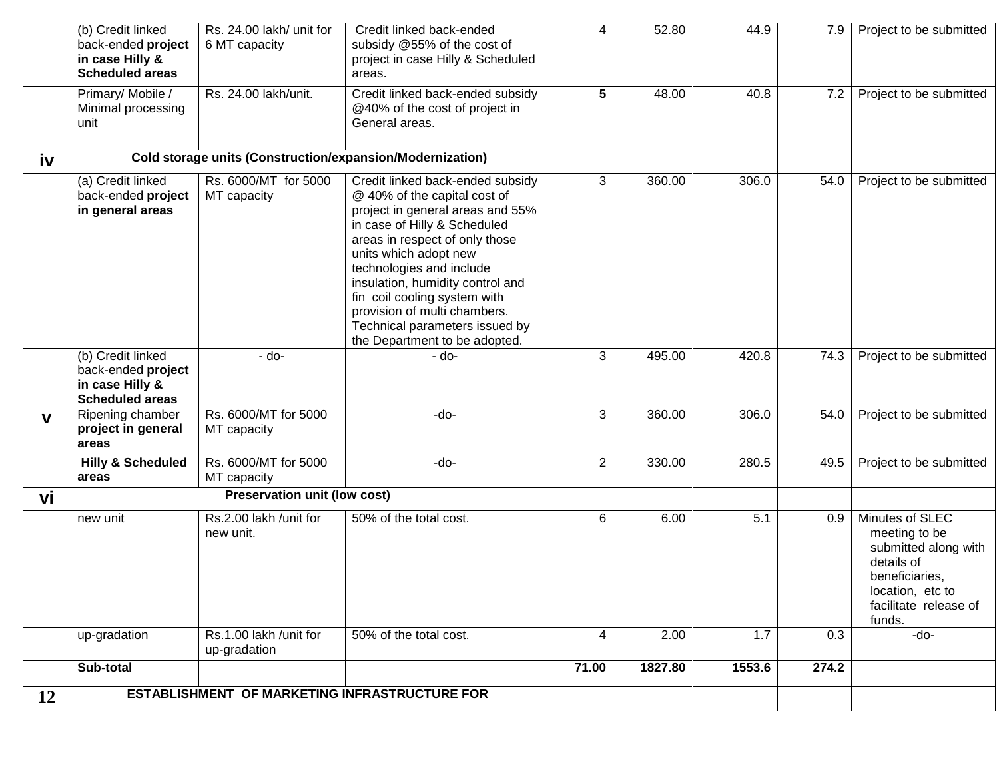|              | (b) Credit linked<br>back-ended project<br>in case Hilly &<br><b>Scheduled areas</b> | Rs. 24.00 lakh/ unit for<br>6 MT capacity | Credit linked back-ended<br>subsidy @55% of the cost of<br>project in case Hilly & Scheduled<br>areas.                                                                                                                                                                                                                                                                                             | 4                | 52.80   | 44.9   | 7.9   | Project to be submitted                                                                                                                         |
|--------------|--------------------------------------------------------------------------------------|-------------------------------------------|----------------------------------------------------------------------------------------------------------------------------------------------------------------------------------------------------------------------------------------------------------------------------------------------------------------------------------------------------------------------------------------------------|------------------|---------|--------|-------|-------------------------------------------------------------------------------------------------------------------------------------------------|
|              | Primary/ Mobile /<br>Minimal processing<br>unit                                      | Rs. 24.00 lakh/unit.                      | Credit linked back-ended subsidy<br>@40% of the cost of project in<br>General areas.                                                                                                                                                                                                                                                                                                               | $5\phantom{.0}$  | 48.00   | 40.8   | 7.2   | Project to be submitted                                                                                                                         |
| iv           |                                                                                      |                                           | Cold storage units (Construction/expansion/Modernization)                                                                                                                                                                                                                                                                                                                                          |                  |         |        |       |                                                                                                                                                 |
|              | (a) Credit linked<br>back-ended project<br>in general areas                          | Rs. 6000/MT for 5000<br>MT capacity       | Credit linked back-ended subsidy<br>@ 40% of the capital cost of<br>project in general areas and 55%<br>in case of Hilly & Scheduled<br>areas in respect of only those<br>units which adopt new<br>technologies and include<br>insulation, humidity control and<br>fin coil cooling system with<br>provision of multi chambers.<br>Technical parameters issued by<br>the Department to be adopted. | 3                | 360.00  | 306.0  | 54.0  | Project to be submitted                                                                                                                         |
|              | (b) Credit linked<br>back-ended project<br>in case Hilly &<br><b>Scheduled areas</b> | $-do-$                                    | - do-                                                                                                                                                                                                                                                                                                                                                                                              | 3                | 495.00  | 420.8  | 74.3  | Project to be submitted                                                                                                                         |
| $\mathbf{V}$ | Ripening chamber<br>project in general<br>areas                                      | Rs. 6000/MT for 5000<br>MT capacity       | -do-                                                                                                                                                                                                                                                                                                                                                                                               | 3                | 360.00  | 306.0  | 54.0  | Project to be submitted                                                                                                                         |
|              | <b>Hilly &amp; Scheduled</b><br>areas                                                | Rs. 6000/MT for 5000<br>MT capacity       | $-do-$                                                                                                                                                                                                                                                                                                                                                                                             | $\boldsymbol{2}$ | 330.00  | 280.5  | 49.5  | Project to be submitted                                                                                                                         |
| vi           |                                                                                      | <b>Preservation unit (low cost)</b>       |                                                                                                                                                                                                                                                                                                                                                                                                    |                  |         |        |       |                                                                                                                                                 |
|              | new unit                                                                             | Rs.2.00 lakh /unit for<br>new unit.       | 50% of the total cost.                                                                                                                                                                                                                                                                                                                                                                             | 6                | 6.00    | 5.1    | 0.9   | Minutes of SLEC<br>meeting to be<br>submitted along with<br>details of<br>beneficiaries,<br>location, etc to<br>facilitate release of<br>funds. |
|              | up-gradation                                                                         | Rs.1.00 lakh /unit for<br>up-gradation    | 50% of the total cost.                                                                                                                                                                                                                                                                                                                                                                             | 4                | 2.00    | 1.7    | 0.3   | -do-                                                                                                                                            |
|              | Sub-total                                                                            |                                           |                                                                                                                                                                                                                                                                                                                                                                                                    | 71.00            | 1827.80 | 1553.6 | 274.2 |                                                                                                                                                 |
| 12           |                                                                                      |                                           | ESTABLISHMENT OF MARKETING INFRASTRUCTURE FOR                                                                                                                                                                                                                                                                                                                                                      |                  |         |        |       |                                                                                                                                                 |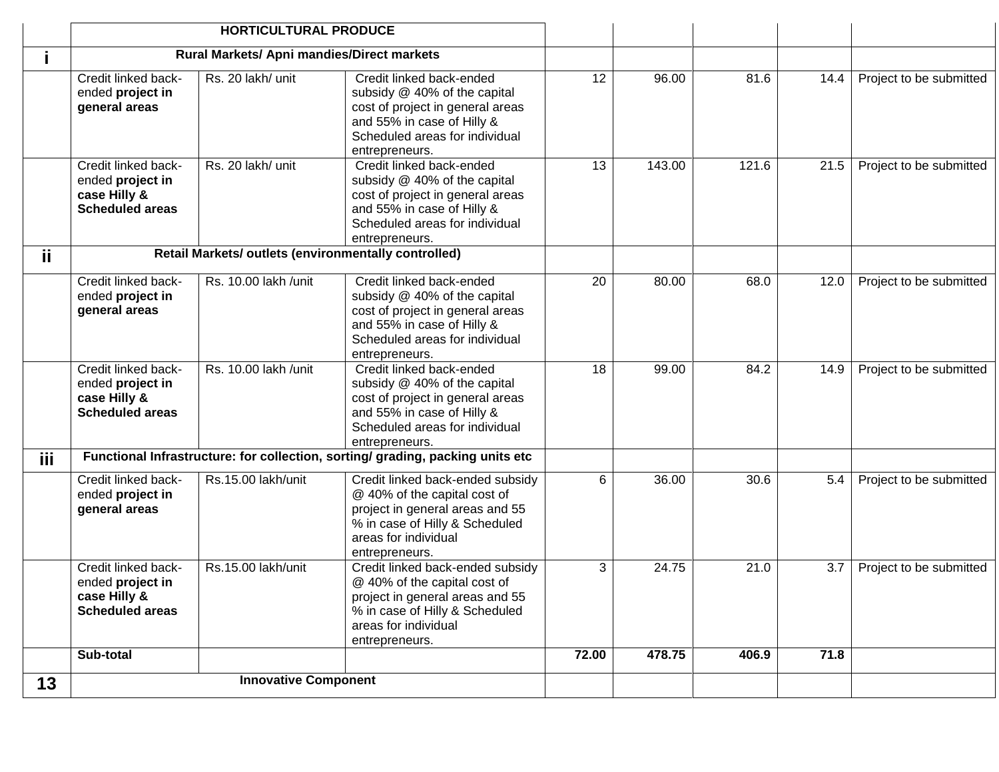|            |                                                                                   | <b>HORTICULTURAL PRODUCE</b>                         |                                                                                                                                                                                 |       |        |       |      |                         |
|------------|-----------------------------------------------------------------------------------|------------------------------------------------------|---------------------------------------------------------------------------------------------------------------------------------------------------------------------------------|-------|--------|-------|------|-------------------------|
|            |                                                                                   | Rural Markets/ Apni mandies/Direct markets           |                                                                                                                                                                                 |       |        |       |      |                         |
|            | Credit linked back-<br>ended project in<br>general areas                          | Rs. 20 lakh/ unit                                    | Credit linked back-ended<br>subsidy @ 40% of the capital<br>cost of project in general areas<br>and 55% in case of Hilly &<br>Scheduled areas for individual<br>entrepreneurs.  | 12    | 96.00  | 81.6  | 14.4 | Project to be submitted |
|            | Credit linked back-<br>ended project in<br>case Hilly &<br><b>Scheduled areas</b> | Rs. 20 lakh/ unit                                    | Credit linked back-ended<br>subsidy @ 40% of the capital<br>cost of project in general areas<br>and 55% in case of Hilly &<br>Scheduled areas for individual<br>entrepreneurs.  | 13    | 143.00 | 121.6 | 21.5 | Project to be submitted |
| ii.        |                                                                                   | Retail Markets/ outlets (environmentally controlled) |                                                                                                                                                                                 |       |        |       |      |                         |
|            | Credit linked back-<br>ended project in<br>general areas                          | Rs. 10.00 lakh /unit                                 | Credit linked back-ended<br>subsidy @ 40% of the capital<br>cost of project in general areas<br>and 55% in case of Hilly &<br>Scheduled areas for individual<br>entrepreneurs.  | 20    | 80.00  | 68.0  | 12.0 | Project to be submitted |
|            | Credit linked back-<br>ended project in<br>case Hilly &<br><b>Scheduled areas</b> | Rs. 10.00 lakh /unit                                 | Credit linked back-ended<br>subsidy @ 40% of the capital<br>cost of project in general areas<br>and 55% in case of Hilly &<br>Scheduled areas for individual<br>entrepreneurs.  | 18    | 99.00  | 84.2  | 14.9 | Project to be submitted |
| <b>iii</b> |                                                                                   |                                                      | Functional Infrastructure: for collection, sorting/ grading, packing units etc                                                                                                  |       |        |       |      |                         |
|            | Credit linked back-<br>ended project in<br>general areas                          | Rs.15.00 lakh/unit                                   | Credit linked back-ended subsidy<br>@ 40% of the capital cost of<br>project in general areas and 55<br>% in case of Hilly & Scheduled<br>areas for individual<br>entrepreneurs. | 6     | 36.00  | 30.6  | 5.4  | Project to be submitted |
|            | Credit linked back-<br>ended project in<br>case Hilly &<br><b>Scheduled areas</b> | Rs.15.00 lakh/unit                                   | Credit linked back-ended subsidy<br>@ 40% of the capital cost of<br>project in general areas and 55<br>% in case of Hilly & Scheduled<br>areas for individual<br>entrepreneurs. | 3     | 24.75  | 21.0  | 3.7  | Project to be submitted |
|            | Sub-total                                                                         |                                                      |                                                                                                                                                                                 | 72.00 | 478.75 | 406.9 | 71.8 |                         |
| 13         |                                                                                   | <b>Innovative Component</b>                          |                                                                                                                                                                                 |       |        |       |      |                         |